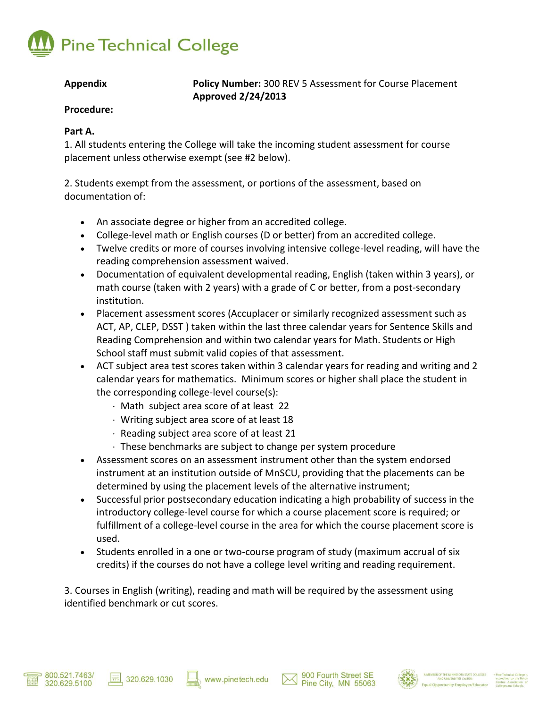

**Appendix Policy Number:** 300 REV 5 Assessment for Course Placement **Approved 2/24/2013**

### **Procedure:**

## **Part A.**

1. All students entering the College will take the incoming student assessment for course placement unless otherwise exempt (see #2 below).

2. Students exempt from the assessment, or portions of the assessment, based on documentation of:

- An associate degree or higher from an accredited college.
- College-level math or English courses (D or better) from an accredited college.
- Twelve credits or more of courses involving intensive college-level reading, will have the reading comprehension assessment waived.
- Documentation of equivalent developmental reading, English (taken within 3 years), or math course (taken with 2 years) with a grade of C or better, from a post-secondary institution.
- Placement assessment scores (Accuplacer or similarly recognized assessment such as ACT, AP, CLEP, DSST ) taken within the last three calendar years for Sentence Skills and Reading Comprehension and within two calendar years for Math. Students or High School staff must submit valid copies of that assessment.
- ACT subject area test scores taken within 3 calendar years for reading and writing and 2 calendar years for mathematics. Minimum scores or higher shall place the student in the corresponding college-level course(s):
	- Math subject area score of at least 22
	- Writing subject area score of at least 18
	- $\cdot$  Reading subject area score of at least 21
	- $\cdot$  These benchmarks are subject to change per system procedure
- Assessment scores on an assessment instrument other than the system endorsed instrument at an institution outside of MnSCU, providing that the placements can be determined by using the placement levels of the alternative instrument;
- Successful prior postsecondary education indicating a high probability of success in the introductory college-level course for which a course placement score is required; or fulfillment of a college-level course in the area for which the course placement score is used.
- Students enrolled in a one or two-course program of study (maximum accrual of six credits) if the courses do not have a college level writing and reading requirement.

3. Courses in English (writing), reading and math will be required by the assessment using identified benchmark or cut scores.